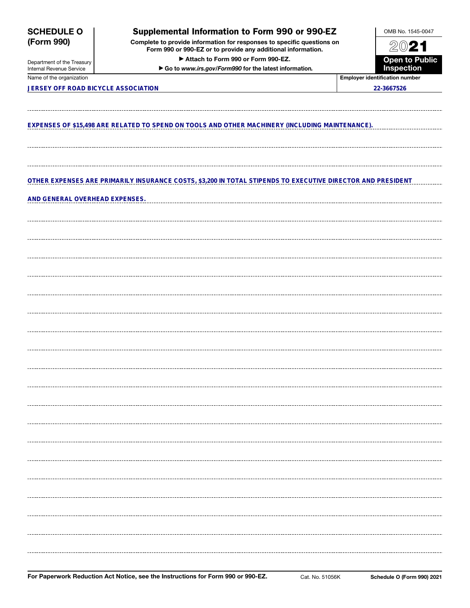| <b>SCHEDULE O</b>                                      | Supplemental Information to Form 990 or 990-EZ                                                                                         | OMB No. 1545-0047                     |  |
|--------------------------------------------------------|----------------------------------------------------------------------------------------------------------------------------------------|---------------------------------------|--|
| (Form 990)                                             | Complete to provide information for responses to specific questions on<br>Form 990 or 990-EZ or to provide any additional information. | 2021                                  |  |
|                                                        | Attach to Form 990 or Form 990-EZ.                                                                                                     |                                       |  |
| Department of the Treasury<br>Internal Revenue Service | Go to www.irs.gov/Form990 for the latest information.                                                                                  | <b>Open to Public</b><br>Inspection   |  |
| Name of the organization                               |                                                                                                                                        | <b>Employer identification number</b> |  |
| JERSEY OFF ROAD BICYCLE ASSOCIATION                    |                                                                                                                                        | 22-3667526                            |  |
|                                                        |                                                                                                                                        |                                       |  |
|                                                        | EXPENSES OF \$15,498 ARE RELATED TO SPEND ON TOOLS AND OTHER MACHINERY (INCLUDING MAINTENANCE).                                        |                                       |  |
|                                                        |                                                                                                                                        |                                       |  |
|                                                        | OTHER EXPENSES ARE PRIMARILY INSURANCE COSTS, \$3,200 IN TOTAL STIPENDS TO EXECUTIVE DIRECTOR AND PRESIDENT                            |                                       |  |
| AND GENERAL OVERHEAD EXPENSES.                         |                                                                                                                                        |                                       |  |
|                                                        |                                                                                                                                        |                                       |  |
|                                                        |                                                                                                                                        |                                       |  |
|                                                        |                                                                                                                                        |                                       |  |
|                                                        |                                                                                                                                        |                                       |  |
|                                                        |                                                                                                                                        |                                       |  |
|                                                        |                                                                                                                                        |                                       |  |
|                                                        |                                                                                                                                        |                                       |  |
|                                                        |                                                                                                                                        |                                       |  |
|                                                        |                                                                                                                                        |                                       |  |
|                                                        |                                                                                                                                        |                                       |  |
|                                                        |                                                                                                                                        |                                       |  |
|                                                        |                                                                                                                                        |                                       |  |
|                                                        |                                                                                                                                        |                                       |  |
|                                                        |                                                                                                                                        |                                       |  |
|                                                        |                                                                                                                                        |                                       |  |
|                                                        |                                                                                                                                        |                                       |  |
|                                                        |                                                                                                                                        |                                       |  |
|                                                        |                                                                                                                                        |                                       |  |
|                                                        |                                                                                                                                        |                                       |  |
|                                                        |                                                                                                                                        |                                       |  |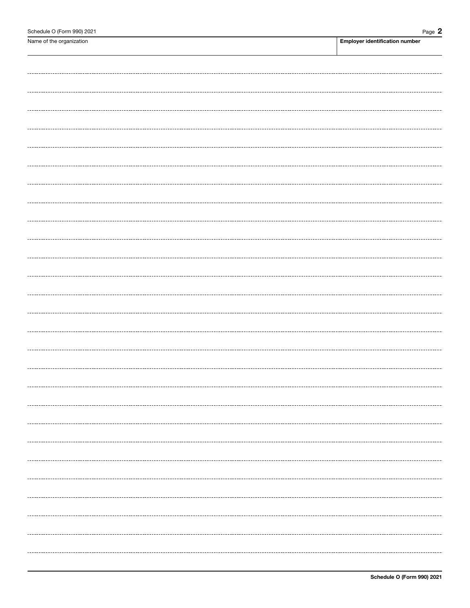| Name of the organization | <b>Employer identification number</b> |
|--------------------------|---------------------------------------|
|                          |                                       |
|                          |                                       |
|                          |                                       |
|                          |                                       |
|                          |                                       |
|                          |                                       |
|                          |                                       |
|                          |                                       |
|                          |                                       |
|                          |                                       |
|                          |                                       |
|                          |                                       |
|                          |                                       |
|                          |                                       |
|                          |                                       |
|                          |                                       |
|                          |                                       |
|                          |                                       |
|                          |                                       |
|                          |                                       |
|                          |                                       |
|                          |                                       |
|                          |                                       |
|                          |                                       |
|                          |                                       |
|                          |                                       |
|                          |                                       |
|                          |                                       |